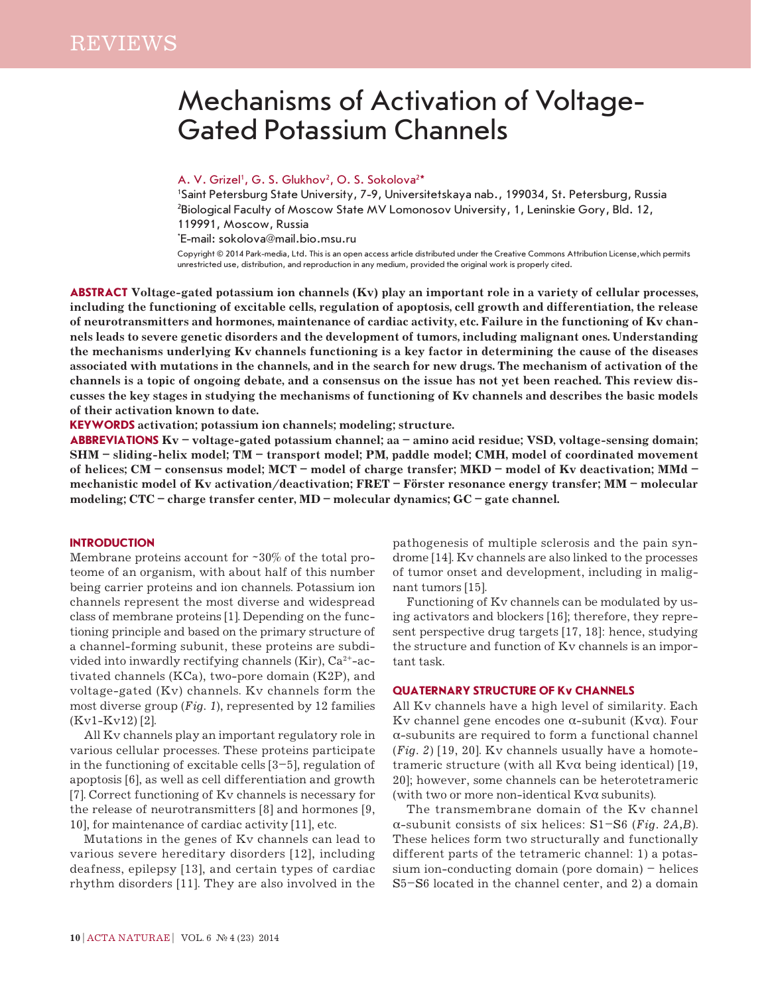# Mechanisms of Activation of Voltage-Gated Potassium Channels

## A. V. Grizel<sup>1</sup>, G. S. Glukhov<sup>2</sup>, O. S. Sokolova<sup>2\*</sup>

1 Saint Petersburg State University, 7-9, Universitetskaya nab., 199034, St. Petersburg, Russia 2 Biological Faculty of Moscow State MV Lomonosov University, 1, Leninskie Gory, Bld. 12, 119991, Moscow, Russia

\* E-mail: sokolova@mail.bio.msu.ru

Copyright © 2014 Park-media, Ltd. This is an open access article distributed under the Creative Commons Attribution License,which permits unrestricted use, distribution, and reproduction in any medium, provided the original work is properly cited.

**Abstract Voltage-gated potassium ion channels (Kv) play an important role in a variety of cellular processes, including the functioning of excitable cells, regulation of apoptosis, cell growth and differentiation, the release of neurotransmitters and hormones, maintenance of cardiac activity, etc. Failure in the functioning of Kv channels leads to severe genetic disorders and the development of tumors, including malignant ones. Understanding the mechanisms underlying Kv channels functioning is a key factor in determining the cause of the diseases associated with mutations in the channels, and in the search for new drugs. The mechanism of activation of the channels is a topic of ongoing debate, and a consensus on the issue has not yet been reached. This review discusses the key stages in studying the mechanisms of functioning of Kv channels and describes the basic models of their activation known to date.**

**KEYWORDS activation; potassium ion channels; modeling; structure.**

**ABBREVIATIONS Kv – voltage-gated potassium channel; aa – amino acid residue; VSD, voltage-sensing domain; SHM – sliding-helix model; TM – transport model; PM, paddle model; CMH, model of coordinated movement of helices; CM – consensus model; MCT – model of charge transfer; MKD – model of Kv deactivation; MMd – mechanistic model of Kv activation/deactivation; FRET – Förster resonance energy transfer; MM – molecular modeling; СTС – charge transfer center, MD – molecular dynamics; GC – gate channel.**

## **INTRODUCTION**

Membrane proteins account for ~30% of the total proteome of an organism, with about half of this number being carrier proteins and ion channels. Potassium ion channels represent the most diverse and widespread class of membrane proteins [1]. Depending on the functioning principle and based on the primary structure of a channel-forming subunit, these proteins are subdivided into inwardly rectifying channels (Kir),  $Ca^{2+}-ac$ tivated channels (KCa), two-pore domain (K2P), and voltage-gated (Kv) channels. Kv channels form the most diverse group (*Fig. 1*), represented by 12 families (Kv1-Kv12) [2].

All Kv channels play an important regulatory role in various cellular processes. These proteins participate in the functioning of excitable cells [3–5], regulation of apoptosis [6], as well as cell differentiation and growth [7]. Correct functioning of Kv channels is necessary for the release of neurotransmitters [8] and hormones [9, 10], for maintenance of cardiac activity [11], etc.

Mutations in the genes of Kv channels can lead to various severe hereditary disorders [12], including deafness, epilepsy [13], and certain types of cardiac rhythm disorders [11]. They are also involved in the pathogenesis of multiple sclerosis and the pain syndrome [14]. Kv channels are also linked to the processes of tumor onset and development, including in malignant tumors [15].

Functioning of Kv channels can be modulated by using activators and blockers [16]; therefore, they represent perspective drug targets [17, 18]: hence, studying the structure and function of Kv channels is an important task.

## **QUATERNARY STRUCTURE OF Kv CHANNELS**

All Kv channels have a high level of similarity. Each Kv channel gene encodes one α-subunit (Kvα). Four α-subunits are required to form a functional channel (*Fig. 2*) [19, 20]. Kv channels usually have a homotetrameric structure (with all  $Kv\alpha$  being identical) [19, 20]; however, some channels can be heterotetrameric (with two or more non-identical Kvα subunits).

The transmembrane domain of the Kv channel α-subunit consists of six helices: S1–S6 (*Fig. 2A,B*). These helices form two structurally and functionally different parts of the tetrameric channel: 1) a potassium ion-conducting domain (pore domain) – helices S5–S6 located in the channel center, and 2) a domain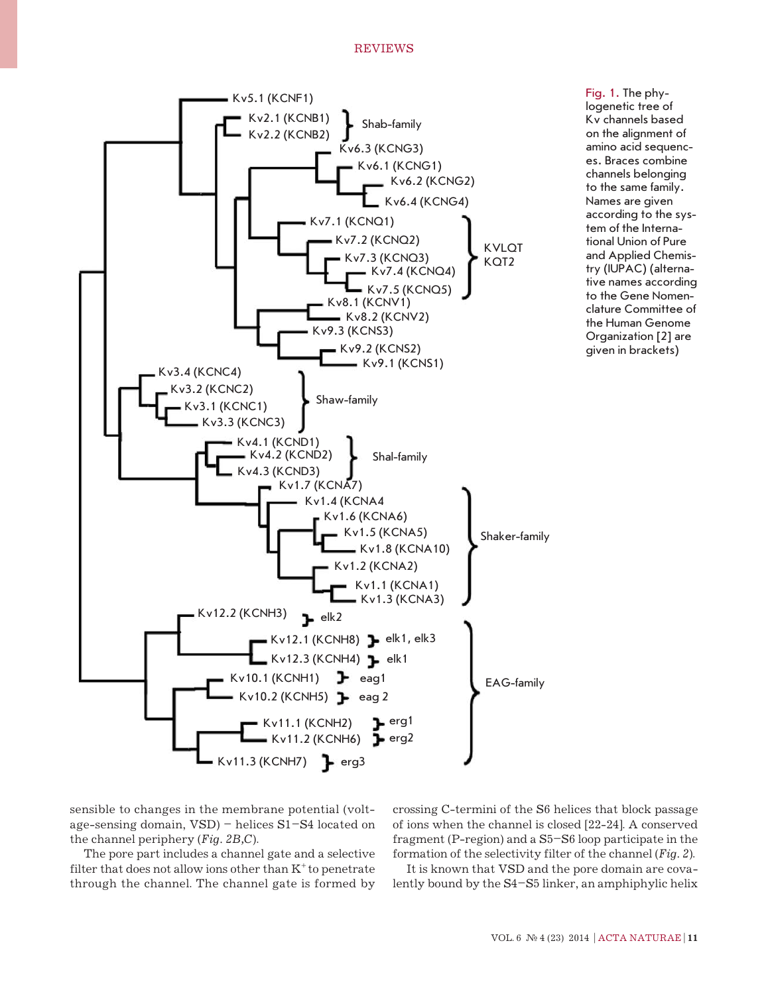## REVIEWS



Fig. 1. The phylogenetic tree of Kv channels based on the alignment of amino acid sequences. Braces combine channels belonging to the same family. Names are given according to the system of the International Union of Pure and Applied Chemistry (IUPAC) (alternative names according to the Gene Nomenclature Committee of the Human Genome Organization [2] are given in brackets)

sensible to changes in the membrane potential (voltage-sensing domain, VSD) – helices S1–S4 located on the channel periphery (*Fig. 2B,C*).

The pore part includes a channel gate and a selective filter that does not allow ions other than  $K^+$  to penetrate through the channel. The channel gate is formed by crossing C-termini of the S6 helices that block passage of ions when the channel is closed [22-24]. A conserved fragment (P-region) and a S5–S6 loop participate in the formation of the selectivity filter of the channel (*Fig. 2*).

It is known that VSD and the pore domain are covalently bound by the S4–S5 linker, an amphiphylic helix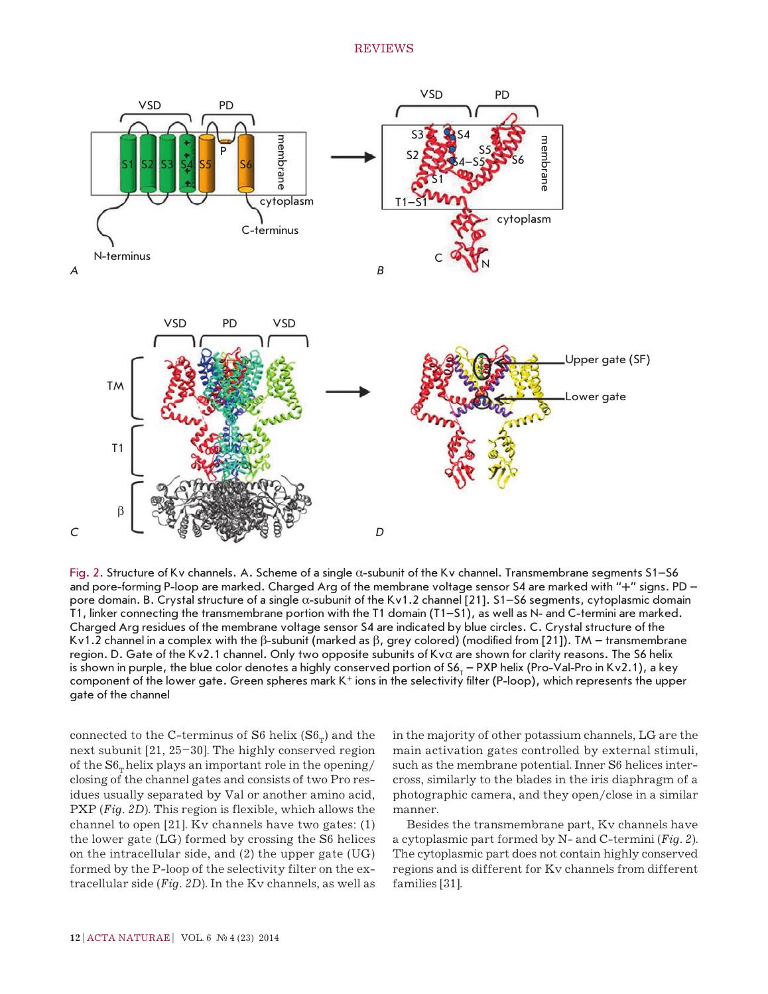

Fig. 2. Structure of Kv channels. A. Scheme of a single  $\alpha$ -subunit of the Kv channel. Transmembrane segments S1–S6 and pore-forming P-loop are marked. Charged Arg of the membrane voltage sensor S4 are marked with "+" signs. PD – pore domain. B. Crystal structure of a single α-subunit of the Kv1.2 channel [21]. S1–S6 segments, cytoplasmic domain T1, linker connecting the transmembrane portion with the T1 domain (T1–S1), as well as N- and C-termini are marked. Charged Arg residues of the membrane voltage sensor S4 are indicated by blue circles. C. Crystal structure of the Kv1.2 channel in a complex with the β-subunit (marked as β, grey colored) (modified from [21]). TM – transmembrane region. D. Gate of the Kv2.1 channel. Only two opposite subunits of Kvα are shown for clarity reasons. The S6 helix is shown in purple, the blue color denotes a highly conserved portion of S6<sub>T</sub> – PXP helix (Pro-Val-Pro in Kv2.1), a key component of the lower gate. Green spheres mark  $K^+$  ions in the selectivity filter (P-loop), which represents the upper gate of the channel

connected to the C-terminus of S6 helix  $(S6<sub>\pi</sub>)$  and the next subunit [21, 25–30]. The highly conserved region of the  $S6<sub>\pi</sub>$  helix plays an important role in the opening/ closing of the channel gates and consists of two Pro residues usually separated by Val or another amino acid, PXP (*Fig. 2D*). This region is flexible, which allows the channel to open [21]. Kv channels have two gates: (1) the lower gate (LG) formed by crossing the S6 helices on the intracellular side, and (2) the upper gate (UG) formed by the P-loop of the selectivity filter on the extracellular side (*Fig. 2D*). In the Kv channels, as well as in the majority of other potassium channels, LG are the main activation gates controlled by external stimuli, such as the membrane potential. Inner S6 helices intercross, similarly to the blades in the iris diaphragm of a photographic camera, and they open/close in a similar manner.

Besides the transmembrane part, Kv channels have a cytoplasmic part formed by N- and C-termini (*Fig. 2*). The cytoplasmic part does not contain highly conserved regions and is different for Kv channels from different families [31].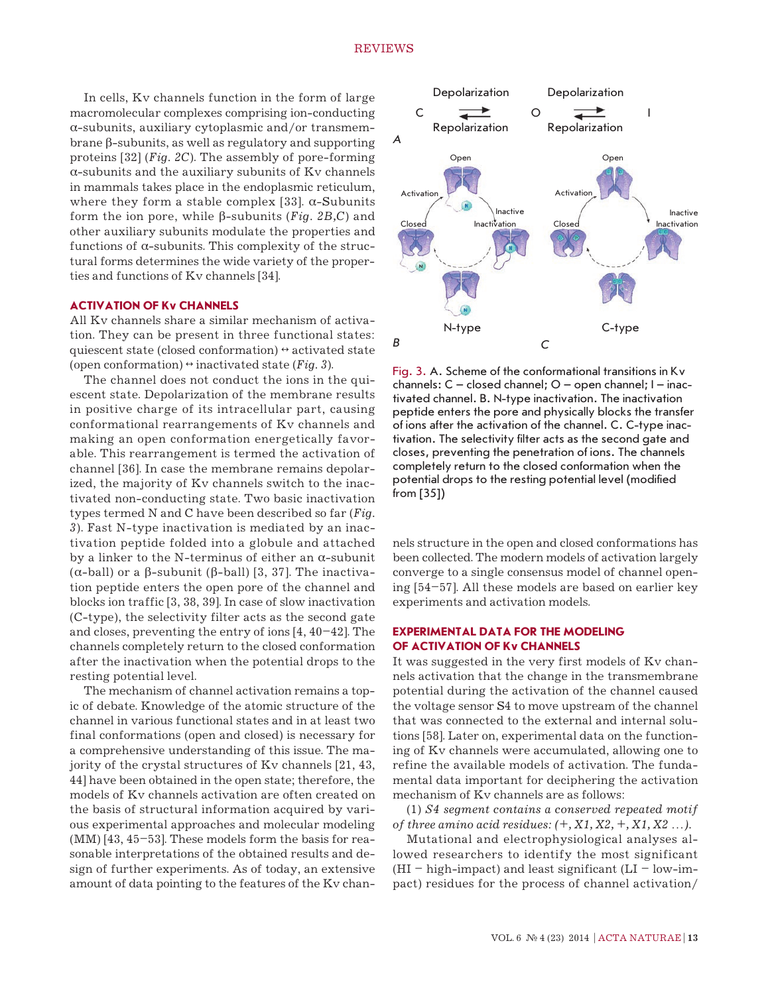In cells, Kv channels function in the form of large macromolecular complexes comprising ion-conducting  $\alpha$ -subunits, auxiliary cytoplasmic and/or transmembrane β-subunits, as well as regulatory and supporting proteins [32] (*Fig. 2C*). The assembly of pore-forming  $\alpha$ -subunits and the auxiliary subunits of Ky channels in mammals takes place in the endoplasmic reticulum, where they form a stable complex [33].  $\alpha$ -Subunits form the ion pore, while β-subunits (*Fig. 2B,C*) and other auxiliary subunits modulate the properties and functions of  $\alpha$ -subunits. This complexity of the structural forms determines the wide variety of the properties and functions of Kv channels [34].

## **ACTIVATION OF Kv CHANNELS**

All Kv channels share a similar mechanism of activation. They can be present in three functional states: quiescent state (closed conformation)  $\leftrightarrow$  activated state (open conformation)  $\leftrightarrow$  inactivated state (*Fig. 3*).

The channel does not conduct the ions in the quiescent state. Depolarization of the membrane results in positive charge of its intracellular part, causing conformational rearrangements of Kv channels and making an open conformation energetically favorable. This rearrangement is termed the activation of channel [36]. In case the membrane remains depolarized, the majority of Kv channels switch to the inactivated non-conducting state. Two basic inactivation types termed N and C have been described so far (*Fig. 3*). Fast N-type inactivation is mediated by an inactivation peptide folded into a globule and attached by a linker to the N-terminus of either an  $\alpha$ -subunit (α-ball) or a β-subunit (β-ball) [3, 37]. The inactivation peptide enters the open pore of the channel and blocks ion traffic [3, 38, 39]. In case of slow inactivation (C-type), the selectivity filter acts as the second gate and closes, preventing the entry of ions [4, 40–42]. The channels completely return to the closed conformation after the inactivation when the potential drops to the resting potential level.

The mechanism of channel activation remains a topic of debate. Knowledge of the atomic structure of the channel in various functional states and in at least two final conformations (open and closed) is necessary for a comprehensive understanding of this issue. The majority of the crystal structures of Kv channels [21, 43, 44] have been obtained in the open state; therefore, the models of Kv channels activation are often created on the basis of structural information acquired by various experimental approaches and molecular modeling (MM) [43, 45–53]. These models form the basis for reasonable interpretations of the obtained results and design of further experiments. As of today, an extensive amount of data pointing to the features of the Kv chan-



Fig. 3. A. Scheme of the conformational transitions in Kv channels: C – closed channel; O – open channel; I – inactivated channel. B. N-type inactivation. The inactivation peptide enters the pore and physically blocks the transfer of ions after the activation of the channel. C. C-type inactivation. The selectivity filter acts as the second gate and closes, preventing the penetration of ions. The channels completely return to the closed conformation when the potential drops to the resting potential level (modified from [35])

nels structure in the open and closed conformations has been collected. The modern models of activation largely converge to a single consensus model of channel opening [54–57]. All these models are based on earlier key experiments and activation models.

## **EXPERIMENTAL DATA FOR THE MODELING OF ACTIVATION OF Kv CHANNELS**

It was suggested in the very first models of Kv channels activation that the change in the transmembrane potential during the activation of the channel caused the voltage sensor S4 to move upstream of the channel that was connected to the external and internal solutions [58]. Later on, experimental data on the functioning of Kv channels were accumulated, allowing one to refine the available models of activation. The fundamental data important for deciphering the activation mechanism of Kv channels are as follows:

(1) *S4 segment contains a conserved repeated motif of three amino acid residues: (+, X1, X2, +, X1, X2 …).*

Mutational and electrophysiological analyses allowed researchers to identify the most significant  $(HI - high-impact)$  and least significant  $(LI - low-im$ pact) residues for the process of channel activation/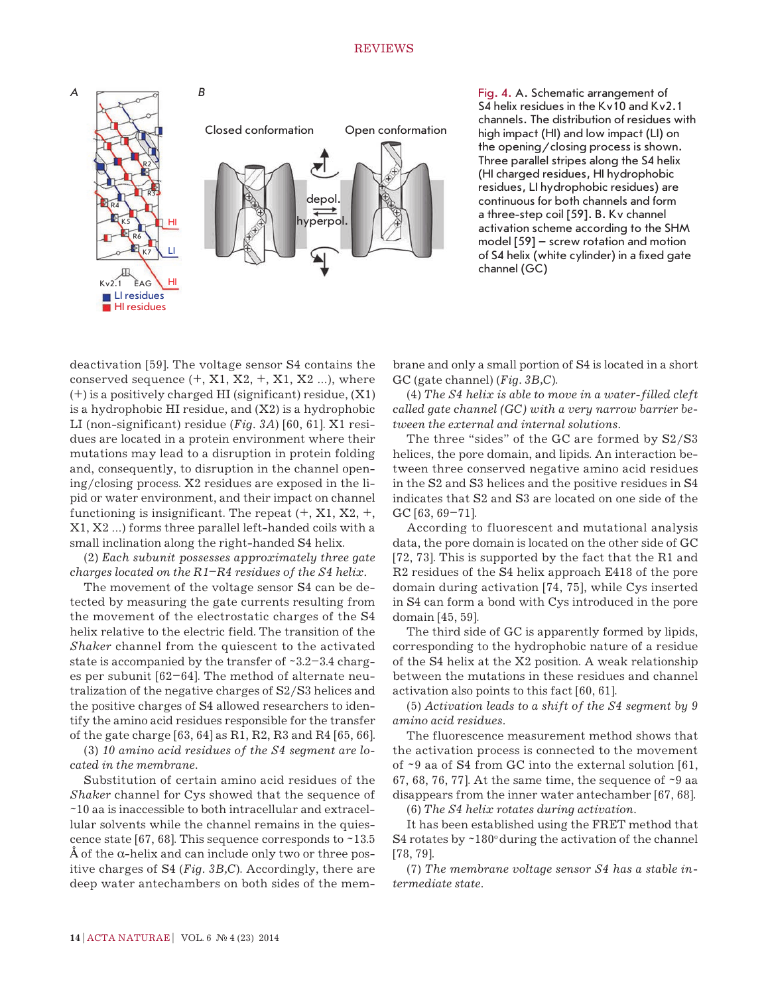

Fig. 4. A. Schematic arrangement of S4 helix residues in the Kv10 and Kv2.1 channels. The distribution of residues with high impact (HI) and low impact (LI) on the opening/closing process is shown. Three parallel stripes along the S4 helix (HI charged residues, HI hydrophobic residues, LI hydrophobic residues) are continuous for both channels and form a three-step coil [59]. B. Kv channel activation scheme according to the SHM model [59] – screw rotation and motion of S4 helix (white cylinder) in a fixed gate channel (GC)

deactivation [59]. The voltage sensor S4 contains the conserved sequence  $(+, X1, X2, +, X1, X2, ...)$ , where (+) is a positively charged HI (significant) residue, (X1) is a hydrophobic HI residue, and  $(X2)$  is a hydrophobic LI (non-significant) residue (*Fig. 3A*) [60, 61]. X1 residues are located in a protein environment where their mutations may lead to a disruption in protein folding and, consequently, to disruption in the channel opening/closing process. X2 residues are exposed in the lipid or water environment, and their impact on channel functioning is insignificant. The repeat  $(+, X1, X2, +, ...)$ X1, X2 …) forms three parallel left-handed coils with a small inclination along the right-handed S4 helix.

(2) *Each subunit possesses approximately three gate charges located on the R1–R4 residues of the S4 helix.*

The movement of the voltage sensor S4 can be detected by measuring the gate currents resulting from the movement of the electrostatic charges of the S4 helix relative to the electric field. The transition of the *Shaker* channel from the quiescent to the activated state is accompanied by the transfer of ~3.2–3.4 charges per subunit [62–64]. The method of alternate neutralization of the negative charges of S2/S3 helices and the positive charges of S4 allowed researchers to identify the amino acid residues responsible for the transfer of the gate charge [63, 64] as R1, R2, R3 and R4 [65, 66].

(3) *10 amino acid residues of the S4 segment are located in the membrane.*

Substitution of certain amino acid residues of the *Shaker* channel for Cys showed that the sequence of ~10 aa is inaccessible to both intracellular and extracellular solvents while the channel remains in the quiescence state [67, 68]. This sequence corresponds to  $~13.5$  $\AA$  of the α-helix and can include only two or three positive charges of S4 (*Fig. 3B,C*). Accordingly, there are deep water antechambers on both sides of the membrane and only a small portion of S4 is located in a short GC (gate channel) (*Fig. 3B,C*).

(4) *The S4 helix is able to move in a water-filled cleft called gate channel (GC) with a very narrow barrier between the external and internal solutions.*

The three "sides" of the GC are formed by S2/S3 helices, the pore domain, and lipids. An interaction between three conserved negative amino acid residues in the S2 and S3 helices and the positive residues in S4 indicates that S2 and S3 are located on one side of the GC [63, 69–71].

According to fluorescent and mutational analysis data, the pore domain is located on the other side of GC [72, 73]. This is supported by the fact that the R1 and R2 residues of the S4 helix approach E418 of the pore domain during activation [74, 75], while Cys inserted in S4 can form a bond with Cys introduced in the pore domain [45, 59].

The third side of GC is apparently formed by lipids, corresponding to the hydrophobic nature of a residue of the S4 helix at the X2 position. A weak relationship between the mutations in these residues and channel activation also points to this fact [60, 61].

(5) *Activation leads to a shift of the S4 segment by 9 amino acid residues.*

The fluorescence measurement method shows that the activation process is connected to the movement of ~9 aa of S4 from GC into the external solution [61, 67, 68, 76, 77]. At the same time, the sequence of  $\sim$ 9 aa disappears from the inner water antechamber [67, 68].

(6) *The S4 helix rotates during activation.*

It has been established using the FRET method that S4 rotates by  $\sim$ 180 $\degree$  during the activation of the channel [78, 79].

(7) *The membrane voltage sensor S4 has a stable intermediate state.*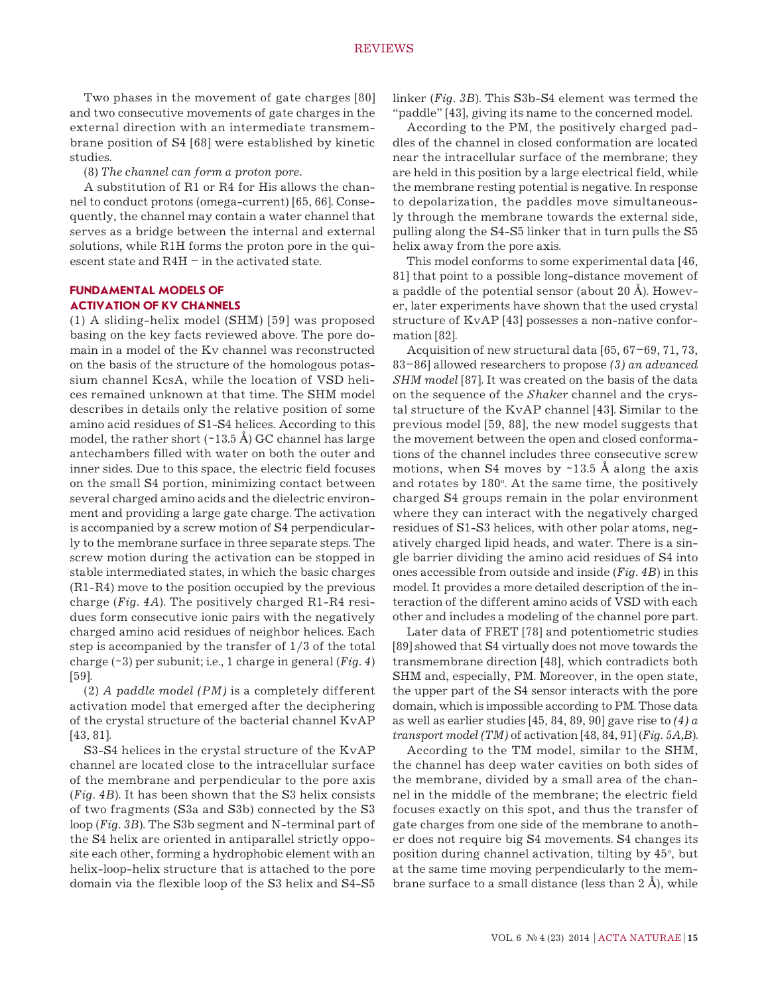Two phases in the movement of gate charges [80] and two consecutive movements of gate charges in the external direction with an intermediate transmembrane position of S4 [68] were established by kinetic studies.

(8) *The channel can form a proton pore.*

A substitution of R1 or R4 for His allows the channel to conduct protons (omega-current) [65, 66]. Consequently, the channel may contain a water channel that serves as a bridge between the internal and external solutions, while R1H forms the proton pore in the quiescent state and R4H – in the activated state.

## **FUNDAMENTAL MODELS OF ACTIVATION OF Kv CHANNELS**

(1) A sliding-helix model (SHM) [59] was proposed basing on the key facts reviewed above. The pore domain in a model of the Kv channel was reconstructed on the basis of the structure of the homologous potassium channel KcsA, while the location of VSD helices remained unknown at that time. The SHM model describes in details only the relative position of some amino acid residues of S1-S4 helices. According to this model, the rather short  $(\sim 13.5 \text{ Å})$  GC channel has large antechambers filled with water on both the outer and inner sides. Due to this space, the electric field focuses on the small S4 portion, minimizing contact between several charged amino acids and the dielectric environment and providing a large gate charge. The activation is accompanied by a screw motion of S4 perpendicularly to the membrane surface in three separate steps. The screw motion during the activation can be stopped in stable intermediated states, in which the basic charges (R1-R4) move to the position occupied by the previous charge (*Fig. 4A*). The positively charged R1-R4 residues form consecutive ionic pairs with the negatively charged amino acid residues of neighbor helices. Each step is accompanied by the transfer of 1/3 of the total charge (~3) per subunit; i.e., 1 charge in general (*Fig. 4*) [59].

(2) *A paddle model (PM)* is a completely different activation model that emerged after the deciphering of the crystal structure of the bacterial channel KvAP [43, 81].

S3-S4 helices in the crystal structure of the KvAP channel are located close to the intracellular surface of the membrane and perpendicular to the pore axis (*Fig. 4B*). It has been shown that the S3 helix consists of two fragments (S3a and S3b) connected by the S3 loop (*Fig. 3B*). The S3b segment and N-terminal part of the S4 helix are oriented in antiparallel strictly opposite each other, forming a hydrophobic element with an helix-loop-helix structure that is attached to the pore domain via the flexible loop of the S3 helix and S4-S5

linker (*Fig. 3B*). This S3b-S4 element was termed the "paddle" [43], giving its name to the concerned model.

According to the PM, the positively charged paddles of the channel in closed conformation are located near the intracellular surface of the membrane; they are held in this position by a large electrical field, while the membrane resting potential is negative. In response to depolarization, the paddles move simultaneously through the membrane towards the external side, pulling along the S4-S5 linker that in turn pulls the S5 helix away from the pore axis.

This model conforms to some experimental data [46, 81] that point to a possible long-distance movement of a paddle of the potential sensor (about 20 Å). However, later experiments have shown that the used crystal structure of KvAP [43] possesses a non-native conformation [82].

Acquisition of new structural data [65, 67–69, 71, 73, 83–86] allowed researchers to propose *(3) an advanced SHM model* [87]. It was created on the basis of the data on the sequence of the *Shaker* channel and the crystal structure of the KvAP channel [43]. Similar to the previous model [59, 88], the new model suggests that the movement between the open and closed conformations of the channel includes three consecutive screw motions, when  $S4$  moves by  $\sim$ 13.5 Å along the axis and rotates by 180°. At the same time, the positively charged S4 groups remain in the polar environment where they can interact with the negatively charged residues of S1-S3 helices, with other polar atoms, negatively charged lipid heads, and water. There is a single barrier dividing the amino acid residues of S4 into ones accessible from outside and inside (*Fig. 4B*) in this model. It provides a more detailed description of the interaction of the different amino acids of VSD with each other and includes a modeling of the channel pore part.

Later data of FRET [78] and potentiometric studies [89] showed that S4 virtually does not move towards the transmembrane direction [48], which contradicts both SHM and, especially, PM. Moreover, in the open state, the upper part of the S4 sensor interacts with the pore domain, which is impossible according to PM. Those data as well as earlier studies [45, 84, 89, 90] gave rise to *(4) a transport model (TM)* of activation [48, 84, 91] (*Fig. 5A,B*).

According to the TM model, similar to the SHM, the channel has deep water cavities on both sides of the membrane, divided by a small area of the channel in the middle of the membrane; the electric field focuses exactly on this spot, and thus the transfer of gate charges from one side of the membrane to another does not require big S4 movements. S4 changes its position during channel activation, tilting by 45°, but at the same time moving perpendicularly to the membrane surface to a small distance (less than 2 Å), while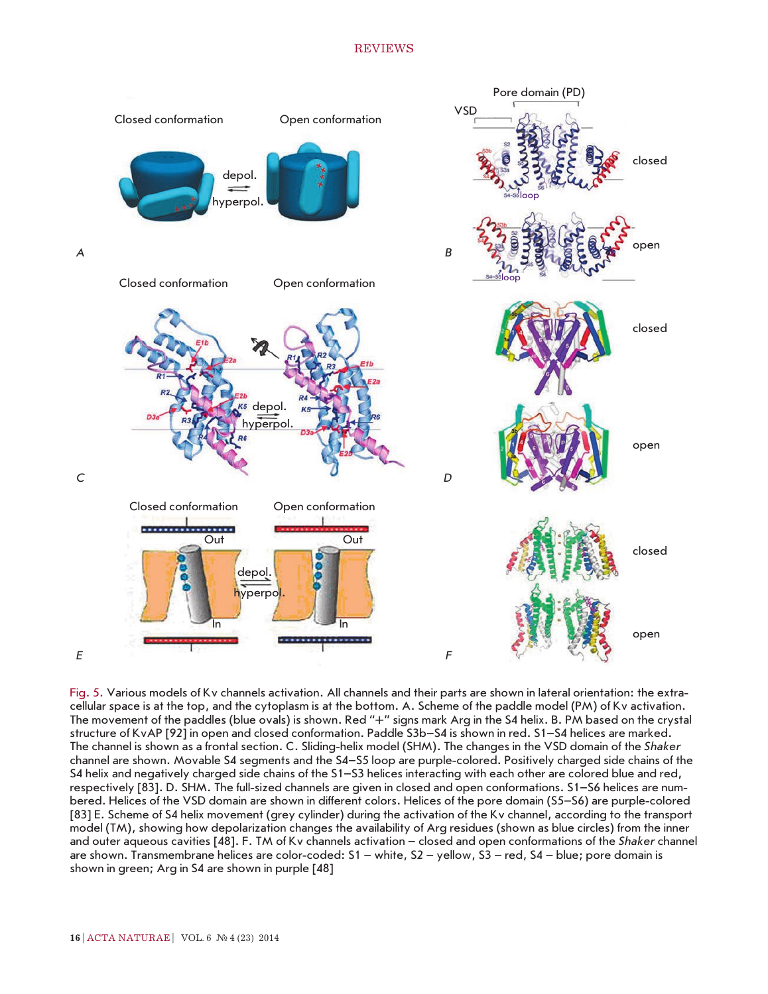## REVIEWS



Fig. 5. Various models of Kv channels activation. All channels and their parts are shown in lateral orientation: the extracellular space is at the top, and the cytoplasm is at the bottom. A. Scheme of the paddle model (PM) of Kv activation. The movement of the paddles (blue ovals) is shown. Red "+" signs mark Arg in the S4 helix. B. PM based on the crystal structure of KvAP [92] in open and closed conformation. Paddle S3b–S4 is shown in red. S1–S4 helices are marked. The channel is shown as a frontal section. C. Sliding-helix model (SHM). The changes in the VSD domain of the *Shaker* channel are shown. Movable S4 segments and the S4–S5 loop are purple-colored. Positively charged side chains of the S4 helix and negatively charged side chains of the S1–S3 helices interacting with each other are colored blue and red, respectively [83]. D. SHM. The full-sized channels are given in closed and open conformations. S1–S6 helices are numbered. Helices of the VSD domain are shown in different colors. Helices of the pore domain (S5–S6) are purple-colored [83] E. Scheme of S4 helix movement (grey cylinder) during the activation of the Kv channel, according to the transport model (TM), showing how depolarization changes the availability of Arg residues (shown as blue circles) from the inner and outer aqueous cavities [48]. F. TM of Kv channels activation – closed and open conformations of the *Shaker* channel are shown. Transmembrane helices are color-coded: S1 – white, S2 – yellow, S3 – red, S4 – blue; pore domain is shown in green; Arg in S4 are shown in purple [48]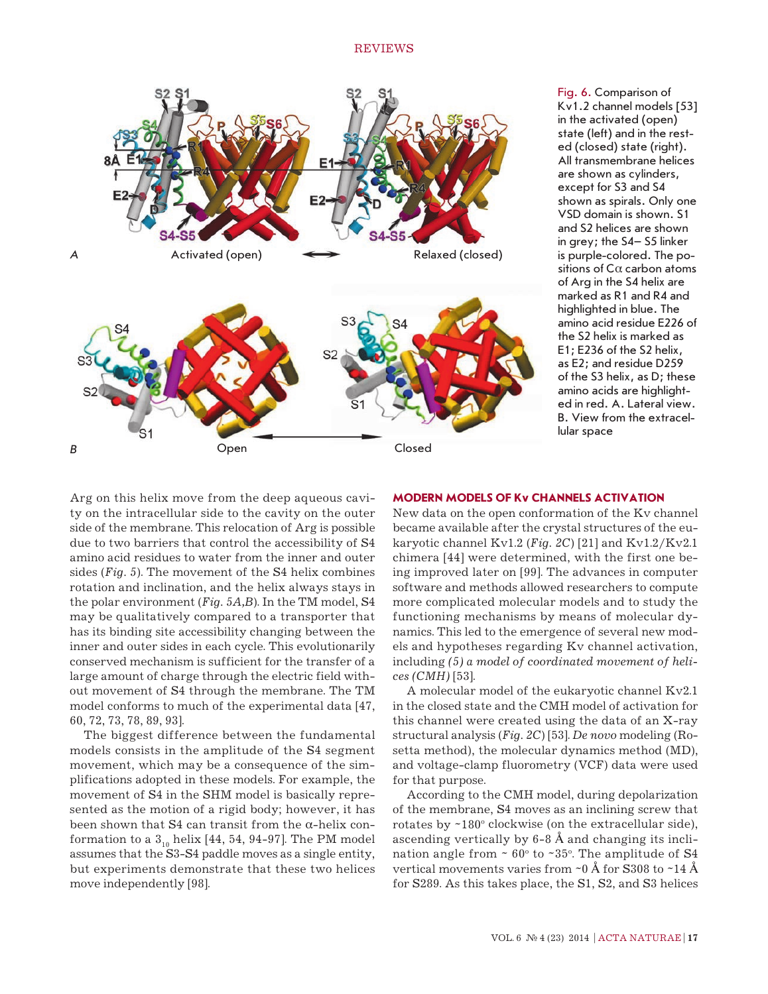

Fig. 6. Comparison of Kv1.2 channel models [53] in the activated (open) state (left) and in the rested (closed) state (right). All transmembrane helices are shown as cylinders, except for S3 and S4 shown as spirals. Only one VSD domain is shown. S1 and S2 helices are shown in grey; the S4– S5 linker is purple-colored. The positions of Cα carbon atoms of Arg in the S4 helix are marked as R1 and R4 and highlighted in blue. The amino acid residue E226 of the S2 helix is marked as E1; E236 of the S2 helix, as E2; and residue D259 of the S3 helix, as D; these amino acids are highlighted in red. A. Lateral view. B. View from the extracellular space

**MODERN MODELS OF Kv CHANNELS ACTIVATION**

Arg on this helix move from the deep aqueous cavity on the intracellular side to the cavity on the outer side of the membrane. This relocation of Arg is possible due to two barriers that control the accessibility of S4 amino acid residues to water from the inner and outer sides (*Fig. 5*). The movement of the S4 helix combines rotation and inclination, and the helix always stays in the polar environment (*Fig. 5A,B*). In the TM model, S4 may be qualitatively compared to a transporter that has its binding site accessibility changing between the inner and outer sides in each cycle. This evolutionarily conserved mechanism is sufficient for the transfer of a large amount of charge through the electric field without movement of S4 through the membrane. The TM model conforms to much of the experimental data [47, 60, 72, 73, 78, 89, 93].

The biggest difference between the fundamental models consists in the amplitude of the S4 segment movement, which may be a consequence of the simplifications adopted in these models. For example, the movement of S4 in the SHM model is basically represented as the motion of a rigid body; however, it has been shown that  $S4$  can transit from the  $\alpha$ -helix conformation to a  $3_{10}$  helix [44, 54, 94-97]. The PM model assumes that the S3-S4 paddle moves as a single entity, but experiments demonstrate that these two helices move independently [98].

New data on the open conformation of the Kv channel became available after the crystal structures of the eukaryotic channel Kv1.2 (*Fig. 2C*) [21] and Kv1.2/Kv2.1 chimera [44] were determined, with the first one being improved later on [99]. The advances in computer software and methods allowed researchers to compute more complicated molecular models and to study the functioning mechanisms by means of molecular dynamics. This led to the emergence of several new models and hypotheses regarding Kv channel activation, including *(5) a model of coordinated movement of helices (CMH)* [53].

A molecular model of the eukaryotic channel Kv2.1 in the closed state and the CMH model of activation for this channel were created using the data of an X-ray structural analysis (*Fig. 2C*) [53]. *De novo* modeling (Rosetta method), the molecular dynamics method (MD), and voltage-clamp fluorometry (VCF) data were used for that purpose.

According to the CMH model, during depolarization of the membrane, S4 moves as an inclining screw that rotates by ~180° clockwise (on the extracellular side), ascending vertically by 6-8 Å and changing its inclination angle from  $\sim 60^{\circ}$  to  $\sim 35^{\circ}$ . The amplitude of S4 vertical movements varies from  $\sim 0$  Å for S308 to  $\sim 14$  Å for S289. As this takes place, the S1, S2, and S3 helices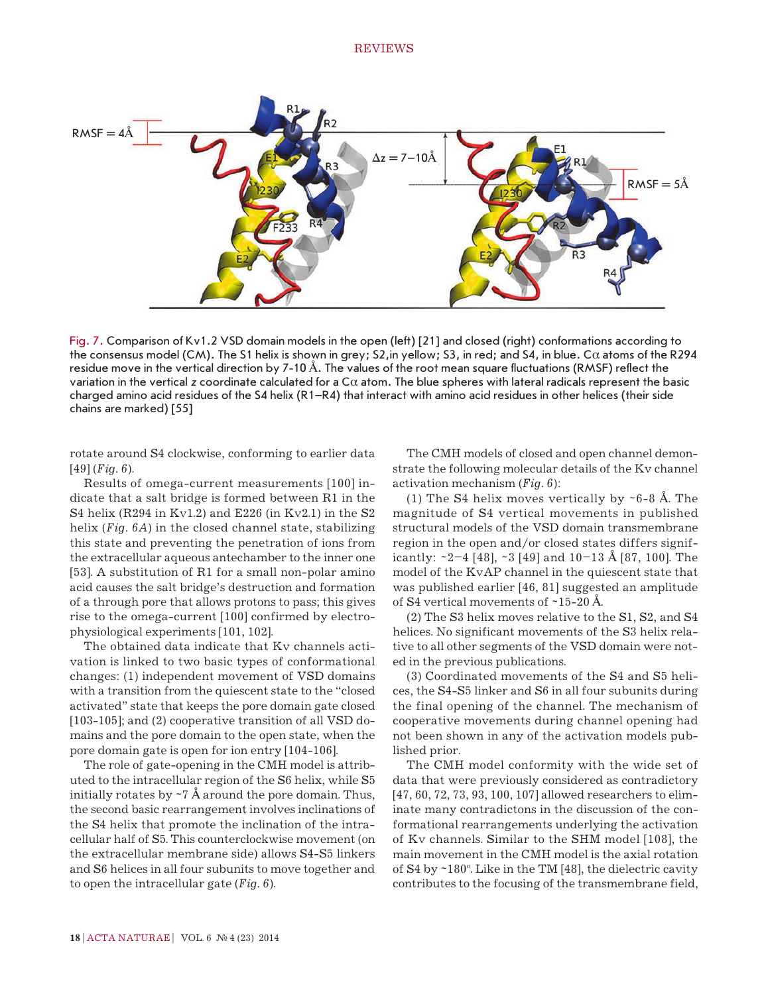

Fig. 7. Comparison of Kv1.2 VSD domain models in the open (left) [21] and closed (right) conformations according to the consensus model (CM). The S1 helix is shown in grey; S2, in yellow; S3, in red; and S4, in blue. Cα atoms of the R294 residue move in the vertical direction by 7-10 Å. The values of the root mean square fluctuations (RMSF) reflect the variation in the vertical *z* coordinate calculated for a Cα atom. The blue spheres with lateral radicals represent the basic charged amino acid residues of the S4 helix (R1–R4) that interact with amino acid residues in other helices (their side chains are marked) [55]

rotate around S4 clockwise, conforming to earlier data [49] (*Fig. 6*).

Results of omega-current measurements [100] indicate that a salt bridge is formed between R1 in the S4 helix (R294 in Kv1.2) and E226 (in Kv2.1) in the S2 helix (*Fig. 6A*) in the closed channel state, stabilizing this state and preventing the penetration of ions from the extracellular aqueous antechamber to the inner one [53]. A substitution of R1 for a small non-polar amino acid causes the salt bridge's destruction and formation of a through pore that allows protons to pass; this gives rise to the omega-current [100] confirmed by electrophysiological experiments [101, 102].

The obtained data indicate that Kv channels activation is linked to two basic types of conformational changes: (1) independent movement of VSD domains with a transition from the quiescent state to the "closed activated" state that keeps the pore domain gate closed [103-105]; and (2) cooperative transition of all VSD domains and the pore domain to the open state, when the pore domain gate is open for ion entry [104-106].

The role of gate-opening in the CMH model is attributed to the intracellular region of the S6 helix, while S5 initially rotates by  $\sim$  7 Å around the pore domain. Thus, the second basic rearrangement involves inclinations of the S4 helix that promote the inclination of the intracellular half of S5. This counterclockwise movement (on the extracellular membrane side) allows S4-S5 linkers and S6 helices in all four subunits to move together and to open the intracellular gate (*Fig. 6*).

The CMH models of closed and open channel demonstrate the following molecular details of the Kv channel activation mechanism (*Fig. 6*):

(1) The S4 helix moves vertically by  $\sim$  6-8 Å. The magnitude of S4 vertical movements in published structural models of the VSD domain transmembrane region in the open and/or closed states differs significantly:  $\sim$ 2–4 [48],  $\sim$ 3 [49] and 10–13 Å [87, 100]. The model of the KvAP channel in the quiescent state that was published earlier [46, 81] suggested an amplitude of S4 vertical movements of ~15-20 Å.

(2) The S3 helix moves relative to the S1, S2, and S4 helices. No significant movements of the S3 helix relative to all other segments of the VSD domain were noted in the previous publications.

(3) Coordinated movements of the S4 and S5 helices, the S4-S5 linker and S6 in all four subunits during the final opening of the channel. The mechanism of cooperative movements during channel opening had not been shown in any of the activation models published prior.

The CMH model conformity with the wide set of data that were previously considered as contradictory [47, 60, 72, 73, 93, 100, 107] allowed researchers to eliminate many contradictons in the discussion of the conformational rearrangements underlying the activation of Kv channels. Similar to the SHM model [108], the main movement in the CMH model is the axial rotation of S4 by ~180°. Like in the TM [48], the dielectric cavity contributes to the focusing of the transmembrane field,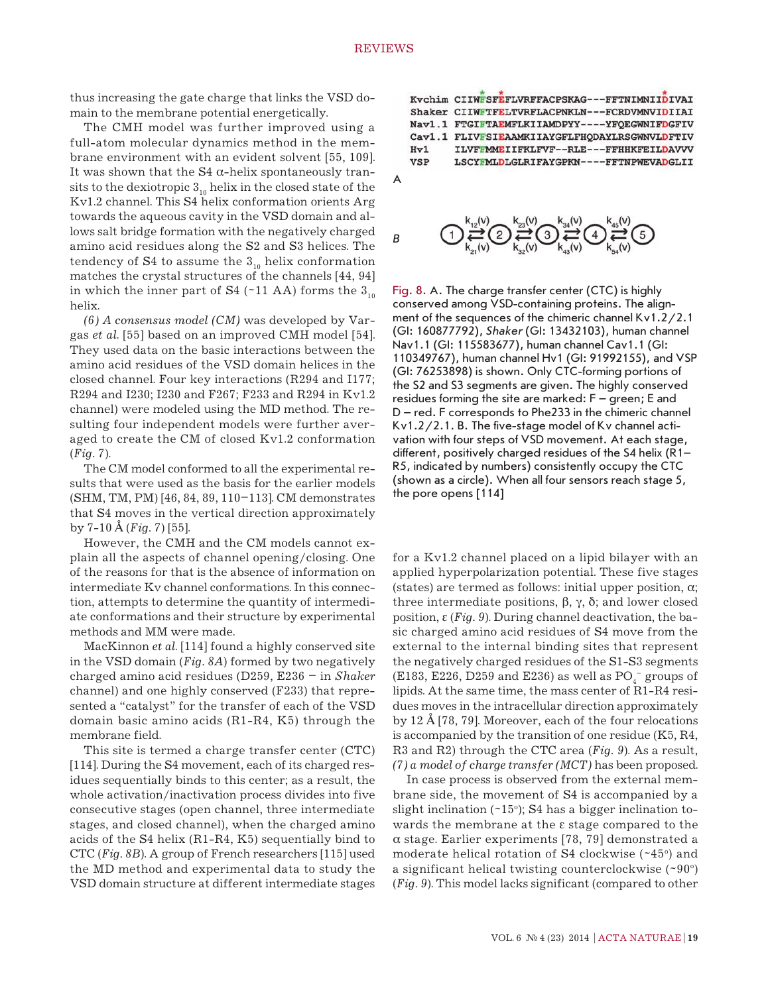thus increasing the gate charge that links the VSD domain to the membrane potential energetically.

The CMH model was further improved using a full-atom molecular dynamics method in the membrane environment with an evident solvent [55, 109]. It was shown that the  $S4$   $\alpha$ -helix spontaneously transits to the dexiotropic  $3_{10}$  helix in the closed state of the Kv1.2 channel. This S4 helix conformation orients Arg towards the aqueous cavity in the VSD domain and allows salt bridge formation with the negatively charged amino acid residues along the S2 and S3 helices. The tendency of S4 to assume the  $3<sub>10</sub>$  helix conformation matches the crystal structures of the channels [44, 94] in which the inner part of S4 (~11 AA) forms the  $3<sub>10</sub>$ helix.

*(6) A consensus model (CM)* was developed by Vargas *et al*. [55] based on an improved CMH model [54]. They used data on the basic interactions between the amino acid residues of the VSD domain helices in the closed channel. Four key interactions (R294 and I177; R294 and I230; I230 and F267; F233 and R294 in Kv1.2 channel) were modeled using the MD method. The resulting four independent models were further averaged to create the CM of closed Kv1.2 conformation (*Fig. 7*).

The CM model conformed to all the experimental results that were used as the basis for the earlier models (SHM, TM, PM) [46, 84, 89, 110–113]. CM demonstrates that S4 moves in the vertical direction approximately by 7-10 Å (*Fig. 7*) [55].

However, the CMH and the CM models cannot explain all the aspects of channel opening/closing. One of the reasons for that is the absence of information on intermediate Kv channel conformations. In this connection, attempts to determine the quantity of intermediate conformations and their structure by experimental methods and MM were made.

MacKinnon *et al*. [114] found a highly conserved site in the VSD domain (*Fig. 8A*) formed by two negatively charged amino acid residues (D259, E236 – in *Shaker* channel) and one highly conserved (F233) that represented a "catalyst" for the transfer of each of the VSD domain basic amino acids (R1-R4, K5) through the membrane field.

This site is termed a charge transfer center (CTC) [114]. During the S4 movement, each of its charged residues sequentially binds to this center; as a result, the whole activation/inactivation process divides into five consecutive stages (open channel, three intermediate stages, and closed channel), when the charged amino acids of the S4 helix (R1-R4, K5) sequentially bind to CTC (*Fig. 8B*). A group of French researchers [115] used the MD method and experimental data to study the VSD domain structure at different intermediate stages







Fig. 8. A. The charge transfer center (CTC) is highly conserved among VSD-containing proteins. The alignment of the sequences of the chimeric channel Kv1.2/2.1 (GI: 160877792), *Shaker* (GI: 13432103), human channel Nav1.1 (GI: 115583677), human channel Cav1.1 (GI: 110349767), human channel Hv1 (GI: 91992155), and VSP (GI: 76253898) is shown. Only CTC-forming portions of the S2 and S3 segments are given. The highly conserved residues forming the site are marked: F – green; E and D – red. F corresponds to Phe233 in the chimeric channel Kv1.2/2.1. B. The five-stage model of Kv channel activation with four steps of VSD movement. At each stage, different, positively charged residues of the S4 helix (R1– R5, indicated by numbers) consistently occupy the CTC (shown as a circle). When all four sensors reach stage 5, the pore opens [114]

for a Kv1.2 channel placed on a lipid bilayer with an applied hyperpolarization potential. These five stages (states) are termed as follows: initial upper position,  $\alpha$ ; three intermediate positions, β, γ, δ; and lower closed position, ε (*Fig. 9*). During channel deactivation, the basic charged amino acid residues of S4 move from the external to the internal binding sites that represent the negatively charged residues of the S1-S3 segments (E183, E226, D259 and E236) as well as  $\mathrm{PO}_4^-$  groups of lipids. At the same time, the mass center of R1-R4 residues moves in the intracellular direction approximately by 12 Å [78, 79]. Moreover, each of the four relocations is accompanied by the transition of one residue (K5, R4, R3 and R2) through the CTC area (*Fig. 9*). As a result, *(7) a model of charge transfer (MCT)* has been proposed.

In case process is observed from the external membrane side, the movement of S4 is accompanied by a slight inclination  $($  $-15$ °); S4 has a bigger inclination towards the membrane at the  $\varepsilon$  stage compared to the α stage. Earlier experiments [78, 79] demonstrated a moderate helical rotation of  $S4$  clockwise ( $\sim 45^\circ$ ) and a significant helical twisting counterclockwise (~90°) (*Fig. 9*). This model lacks significant (compared to other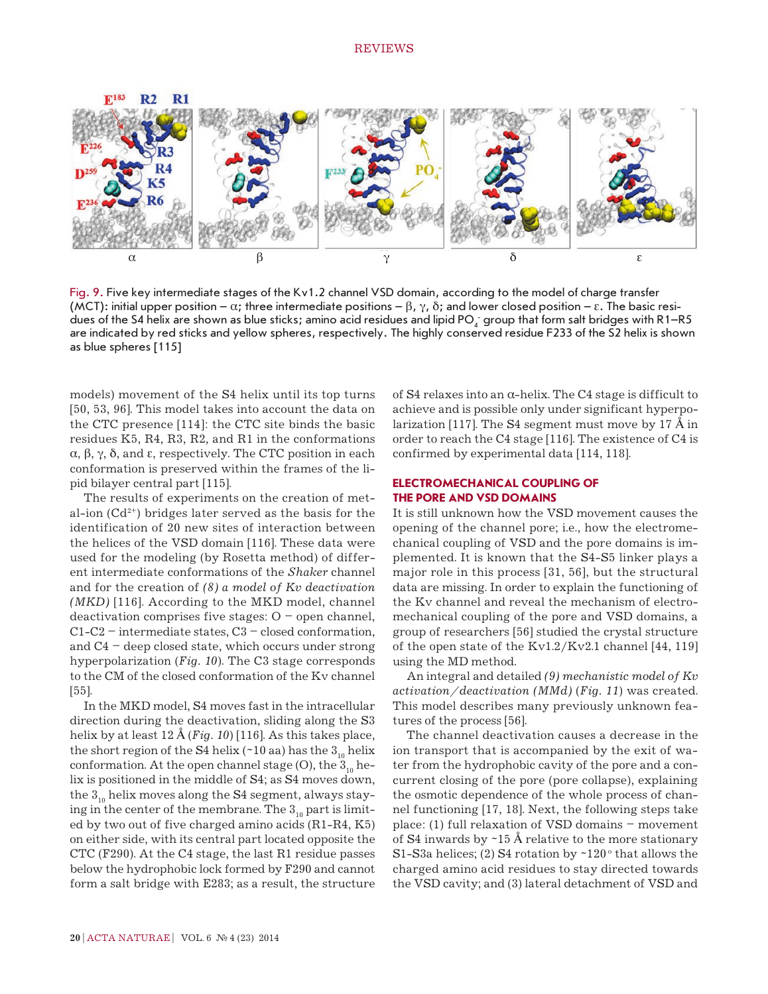

Fig. 9. Five key intermediate stages of the Kv1.2 channel VSD domain, according to the model of charge transfer (MCT): initial upper position –  $\alpha$ ; three intermediate positions –  $\beta$ ,  $\gamma$ ,  $\delta$ ; and lower closed position –  $\varepsilon$ . The basic residues of the S4 helix are shown as blue sticks; amino acid residues and lipid PO<sub>4</sub> group that form salt bridges with R1–R5 are indicated by red sticks and yellow spheres, respectively. The highly conserved residue F233 of the S2 helix is shown as blue spheres [115]

models) movement of the S4 helix until its top turns [50, 53, 96]. This model takes into account the data on the CTC presence [114]: the CTC site binds the basic residues K5, R4, R3, R2, and R1 in the conformations α, β, γ, δ, and ε, respectively. The CTC position in each conformation is preserved within the frames of the lipid bilayer central part [115].

The results of experiments on the creation of metal-ion  $(Cd^{2+})$  bridges later served as the basis for the identification of 20 new sites of interaction between the helices of the VSD domain [116]. These data were used for the modeling (by Rosetta method) of different intermediate conformations of the *Shaker* channel and for the creation of *(8) a model of Kv deactivation (MKD)* [116]. According to the MKD model, channel deactivation comprises five stages:  $O$  – open channel,  $C1-C2$  – intermediate states,  $C3$  – closed conformation, and  $C4$  – deep closed state, which occurs under strong hyperpolarization (*Fig. 10*). The C3 stage corresponds to the CM of the closed conformation of the Kv channel [55].

In the MKD model, S4 moves fast in the intracellular direction during the deactivation, sliding along the S3 helix by at least 12 Å (*Fig. 10*) [116]. As this takes place, the short region of the S4 helix (~10 aa) has the  $3<sub>10</sub>$  helix conformation. At the open channel stage (O), the  $3<sub>10</sub>$  helix is positioned in the middle of S4; as S4 moves down, the  $3<sub>10</sub>$  helix moves along the S4 segment, always staying in the center of the membrane. The  $3_{10}$  part is limited by two out of five charged amino acids (R1-R4, K5) on either side, with its central part located opposite the CTC (F290). At the C4 stage, the last R1 residue passes below the hydrophobic lock formed by F290 and cannot form a salt bridge with E283; as a result, the structure

of S4 relaxes into an  $\alpha$ -helix. The C4 stage is difficult to achieve and is possible only under significant hyperpolarization [117]. The S4 segment must move by 17 Å in order to reach the C4 stage [116]. The existence of C4 is confirmed by experimental data [114, 118].

## **ELECTROMECHANICAL COUPLING OF THE PORE AND VSD DOMAINS**

It is still unknown how the VSD movement causes the opening of the channel pore; i.e., how the electromechanical coupling of VSD and the pore domains is implemented. It is known that the S4-S5 linker plays a major role in this process [31, 56], but the structural data are missing. In order to explain the functioning of the Kv channel and reveal the mechanism of electromechanical coupling of the pore and VSD domains, a group of researchers [56] studied the crystal structure of the open state of the Kv1.2/Kv2.1 channel [44, 119] using the MD method.

An integral and detailed *(9) mechanistic model of Kv activation/deactivation (MMd)* (*Fig. 11*) was created. This model describes many previously unknown features of the process [56].

The channel deactivation causes a decrease in the ion transport that is accompanied by the exit of water from the hydrophobic cavity of the pore and a concurrent closing of the pore (pore collapse), explaining the osmotic dependence of the whole process of channel functioning [17, 18]. Next, the following steps take place: (1) full relaxation of VSD domains – movement of  $S4$  inwards by  $\sim$  15 Å relative to the more stationary S1-S3a helices; (2) S4 rotation by  $\sim$ 120 $\degree$  that allows the charged amino acid residues to stay directed towards the VSD cavity; and (3) lateral detachment of VSD and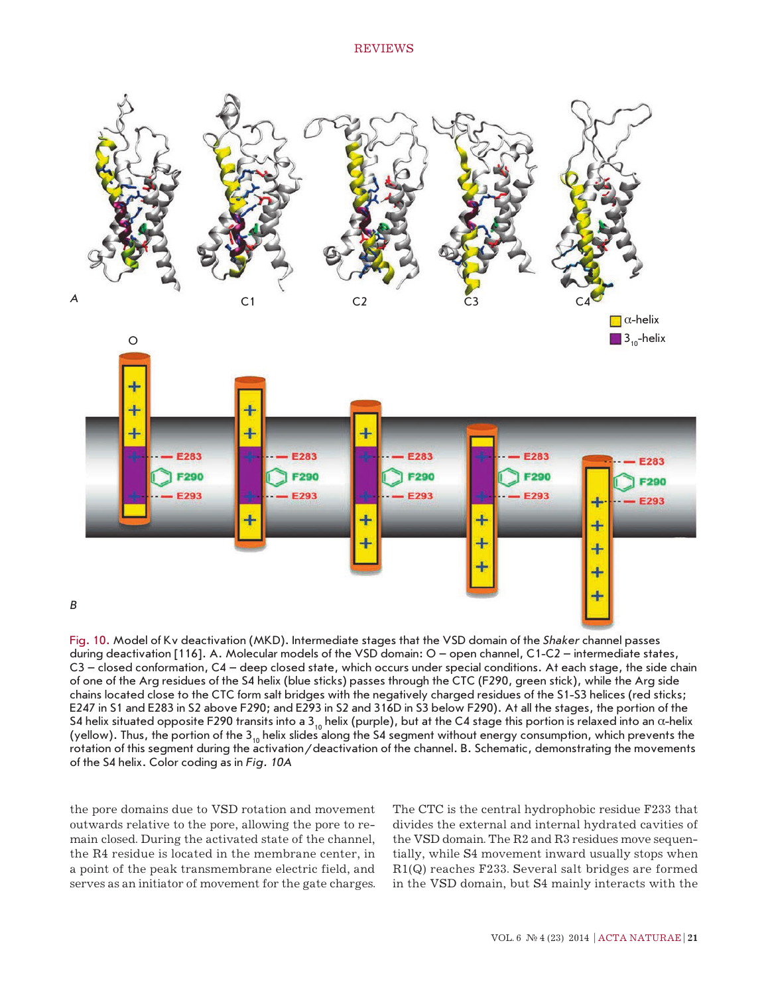

Fig. 10. Model of Kv deactivation (MKD). Intermediate stages that the VSD domain of the *Shaker* channel passes during deactivation [116]. A. Molecular models of the VSD domain: O – open channel, C1-C2 – intermediate states, C3 – closed conformation, C4 – deep closed state, which occurs under special conditions. At each stage, the side chain of one of the Arg residues of the S4 helix (blue sticks) passes through the CTC (F290, green stick), while the Arg side chains located close to the CTC form salt bridges with the negatively charged residues of the S1-S3 helices (red sticks; E247 in S1 and E283 in S2 above F290; and E293 in S2 and 316D in S3 below F290). At all the stages, the portion of the S4 helix situated opposite F290 transits into a 3<sub>10</sub> helix (purple), but at the C4 stage this portion is relaxed into an  $\alpha$ -helix (yellow). Thus, the portion of the 3<sub>10</sub> helix slides along the S4 segment without energy consumption, which prevents the rotation of this segment during the activation/deactivation of the channel. B. Schematic, demonstrating the movements of the S4 helix. Color coding as in *Fig. 10A*

the pore domains due to VSD rotation and movement outwards relative to the pore, allowing the pore to remain closed. During the activated state of the channel, the R4 residue is located in the membrane center, in a point of the peak transmembrane electric field, and serves as an initiator of movement for the gate charges.

The CTC is the central hydrophobic residue F233 that divides the external and internal hydrated cavities of the VSD domain. The R2 and R3 residues move sequentially, while S4 movement inward usually stops when R1(Q) reaches F233. Several salt bridges are formed in the VSD domain, but S4 mainly interacts with the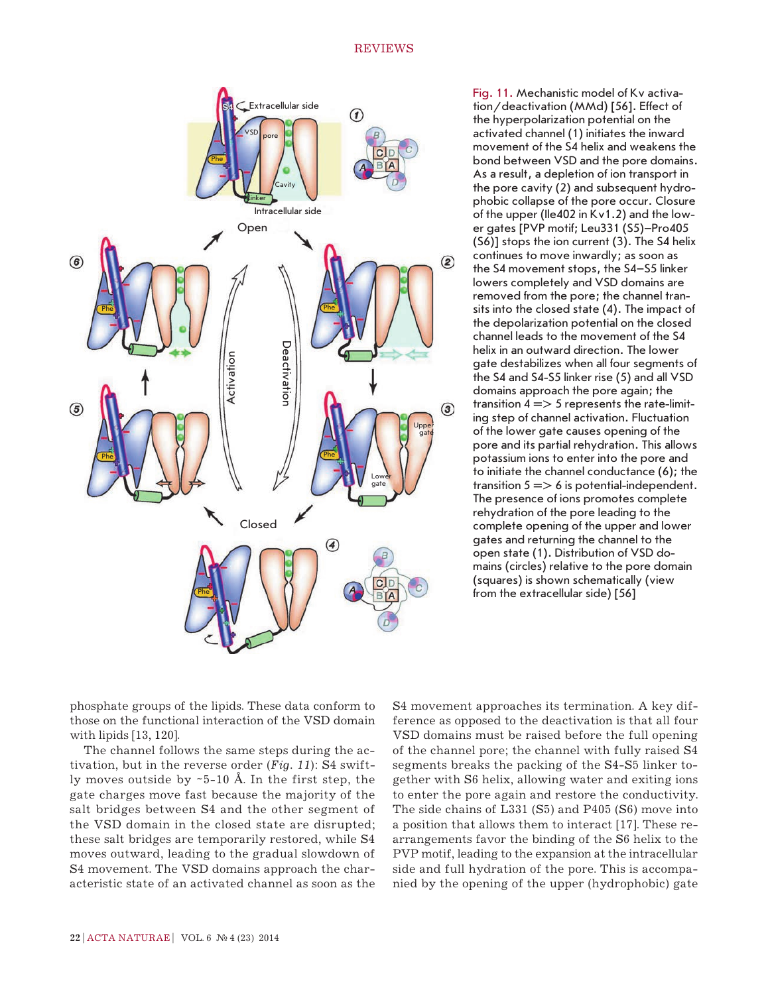

Fig. 11. Mechanistic model of Kv activation/deactivation (MMd) [56]. Effect of the hyperpolarization potential on the activated channel (1) initiates the inward movement of the S4 helix and weakens the bond between VSD and the pore domains. As a result, a depletion of ion transport in the pore cavity (2) and subsequent hydrophobic collapse of the pore occur. Closure of the upper (Ile402 in Kv1.2) and the lower gates [PVP motif; Leu331 (S5)–Pro405 (S6)] stops the ion current (3). The S4 helix continues to move inwardly; as soon as the S4 movement stops, the S4–S5 linker lowers completely and VSD domains are removed from the pore; the channel transits into the closed state (4). The impact of the depolarization potential on the closed channel leads to the movement of the S4 helix in an outward direction. The lower gate destabilizes when all four segments of the S4 and S4-S5 linker rise (5) and all VSD domains approach the pore again; the transition  $4 \implies 5$  represents the rate-limiting step of channel activation. Fluctuation of the lower gate causes opening of the pore and its partial rehydration. This allows potassium ions to enter into the pore and to initiate the channel conductance (6); the transition  $5 \implies 6$  is potential-independent. The presence of ions promotes complete rehydration of the pore leading to the complete opening of the upper and lower gates and returning the channel to the open state (1). Distribution of VSD domains (circles) relative to the pore domain (squares) is shown schematically (view from the extracellular side) [56]

phosphate groups of the lipids. These data conform to those on the functional interaction of the VSD domain with lipids [13, 120].

The channel follows the same steps during the activation, but in the reverse order (*Fig. 11*): S4 swiftly moves outside by  $-5$ -10 Å. In the first step, the gate charges move fast because the majority of the salt bridges between S4 and the other segment of the VSD domain in the closed state are disrupted; these salt bridges are temporarily restored, while S4 moves outward, leading to the gradual slowdown of S4 movement. The VSD domains approach the characteristic state of an activated channel as soon as the S4 movement approaches its termination. A key difference as opposed to the deactivation is that all four VSD domains must be raised before the full opening of the channel pore; the channel with fully raised S4 segments breaks the packing of the S4-S5 linker together with S6 helix, allowing water and exiting ions to enter the pore again and restore the conductivity. The side chains of L331 (S5) and P405 (S6) move into a position that allows them to interact [17]. These rearrangements favor the binding of the S6 helix to the PVP motif, leading to the expansion at the intracellular side and full hydration of the pore. This is accompanied by the opening of the upper (hydrophobic) gate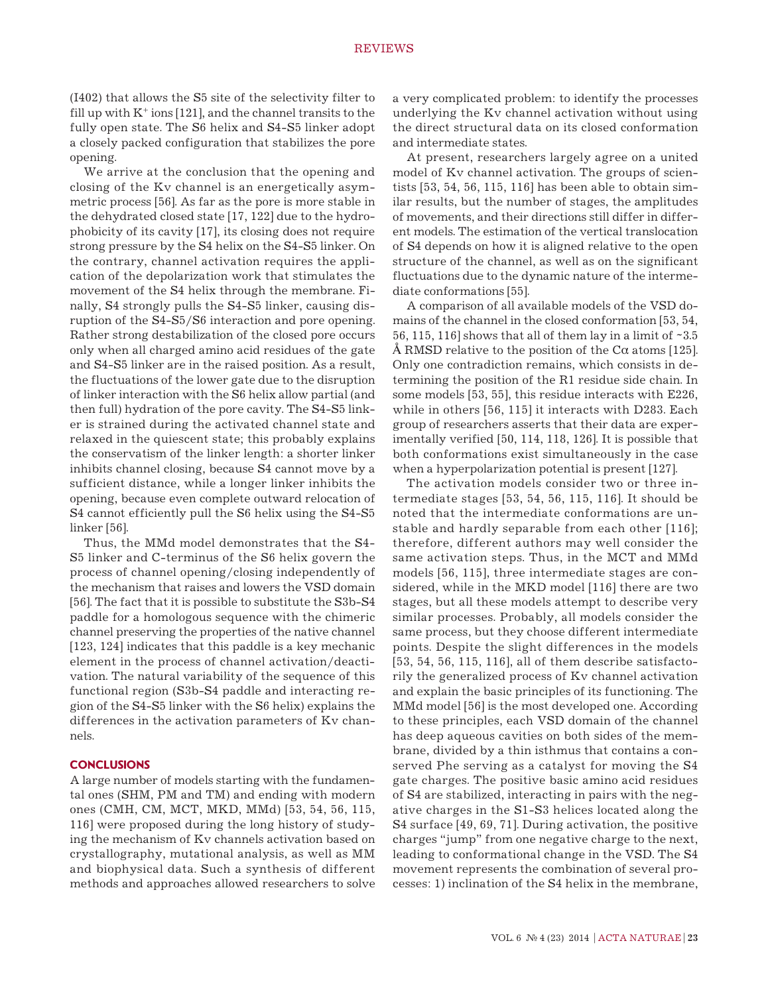(I402) that allows the S5 site of the selectivity filter to fill up with  $K^+$  ions [121], and the channel transits to the fully open state. The S6 helix and S4-S5 linker adopt a closely packed configuration that stabilizes the pore opening.

We arrive at the conclusion that the opening and closing of the Kv channel is an energetically asymmetric process [56]. As far as the pore is more stable in the dehydrated closed state [17, 122] due to the hydrophobicity of its cavity [17], its closing does not require strong pressure by the S4 helix on the S4-S5 linker. On the contrary, channel activation requires the application of the depolarization work that stimulates the movement of the S4 helix through the membrane. Finally, S4 strongly pulls the S4-S5 linker, causing disruption of the S4-S5/S6 interaction and pore opening. Rather strong destabilization of the closed pore occurs only when all charged amino acid residues of the gate and S4-S5 linker are in the raised position. As a result, the fluctuations of the lower gate due to the disruption of linker interaction with the S6 helix allow partial (and then full) hydration of the pore cavity. The S4-S5 linker is strained during the activated channel state and relaxed in the quiescent state; this probably explains the conservatism of the linker length: a shorter linker inhibits channel closing, because S4 cannot move by a sufficient distance, while a longer linker inhibits the opening, because even complete outward relocation of S4 cannot efficiently pull the S6 helix using the S4-S5 linker [56].

Thus, the MMd model demonstrates that the S4- S5 linker and C-terminus of the S6 helix govern the process of channel opening/closing independently of the mechanism that raises and lowers the VSD domain [56]. The fact that it is possible to substitute the S3b-S4 paddle for a homologous sequence with the chimeric channel preserving the properties of the native channel [123, 124] indicates that this paddle is a key mechanic element in the process of channel activation/deactivation. The natural variability of the sequence of this functional region (S3b-S4 paddle and interacting region of the S4-S5 linker with the S6 helix) explains the differences in the activation parameters of Kv channels.

## **CONCLUSIONS**

A large number of models starting with the fundamental ones (SHM, PM and TM) and ending with modern ones (CMH, CM, MCT, MKD, MMd) [53, 54, 56, 115, 116] were proposed during the long history of studying the mechanism of Kv channels activation based on crystallography, mutational analysis, as well as MM and biophysical data. Such a synthesis of different methods and approaches allowed researchers to solve

a very complicated problem: to identify the processes underlying the Kv channel activation without using the direct structural data on its closed conformation and intermediate states.

At present, researchers largely agree on a united model of Kv channel activation. The groups of scientists [53, 54, 56, 115, 116] has been able to obtain similar results, but the number of stages, the amplitudes of movements, and their directions still differ in different models. The estimation of the vertical translocation of S4 depends on how it is aligned relative to the open structure of the channel, as well as on the significant fluctuations due to the dynamic nature of the intermediate conformations [55].

A comparison of all available models of the VSD domains of the channel in the closed conformation [53, 54, 56, 115, 116] shows that all of them lay in a limit of  $\sim 3.5$ Å RMSD relative to the position of the C $\alpha$  atoms [125]. Only one contradiction remains, which consists in determining the position of the R1 residue side chain. In some models [53, 55], this residue interacts with E226, while in others [56, 115] it interacts with D283. Each group of researchers asserts that their data are experimentally verified [50, 114, 118, 126]. It is possible that both conformations exist simultaneously in the case when a hyperpolarization potential is present [127].

The activation models consider two or three intermediate stages [53, 54, 56, 115, 116]. It should be noted that the intermediate conformations are unstable and hardly separable from each other [116]; therefore, different authors may well consider the same activation steps. Thus, in the MCT and MMd models [56, 115], three intermediate stages are considered, while in the MKD model [116] there are two stages, but all these models attempt to describe very similar processes. Probably, all models consider the same process, but they choose different intermediate points. Despite the slight differences in the models [53, 54, 56, 115, 116], all of them describe satisfactorily the generalized process of Kv channel activation and explain the basic principles of its functioning. The MMd model [56] is the most developed one. According to these principles, each VSD domain of the channel has deep aqueous cavities on both sides of the membrane, divided by a thin isthmus that contains a conserved Phe serving as a catalyst for moving the S4 gate charges. The positive basic amino acid residues of S4 are stabilized, interacting in pairs with the negative charges in the S1-S3 helices located along the S4 surface [49, 69, 71]. During activation, the positive charges "jump" from one negative charge to the next, leading to conformational change in the VSD. The S4 movement represents the combination of several processes: 1) inclination of the S4 helix in the membrane,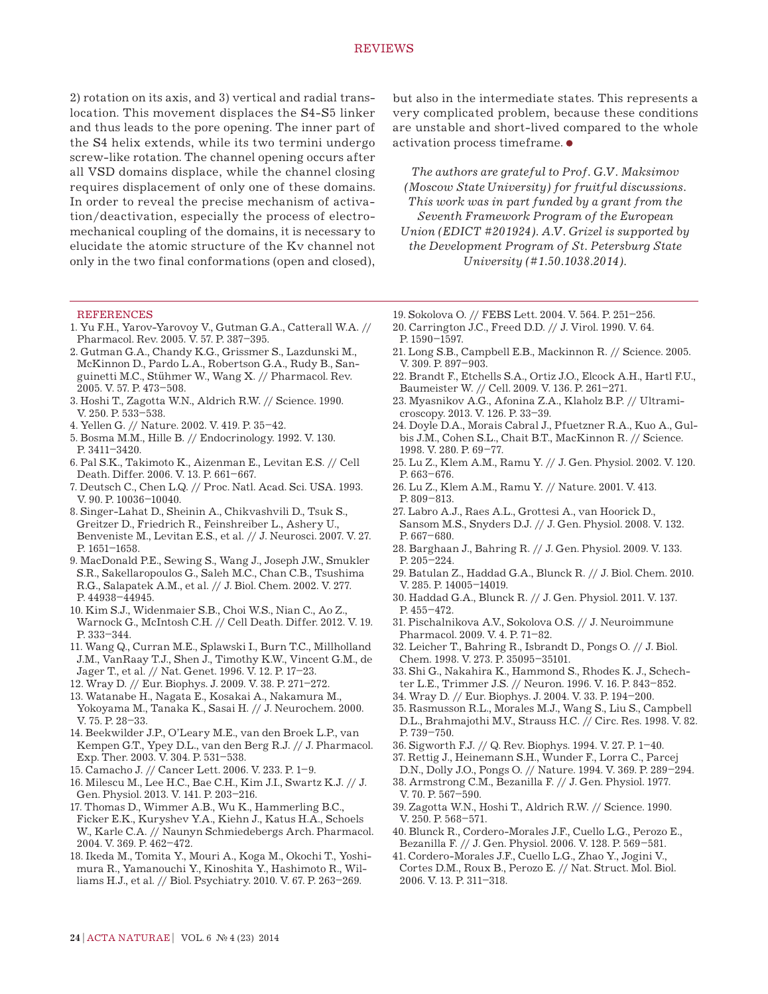2) rotation on its axis, and 3) vertical and radial translocation. This movement displaces the S4-S5 linker and thus leads to the pore opening. The inner part of the S4 helix extends, while its two termini undergo screw-like rotation. The channel opening occurs after all VSD domains displace, while the channel closing requires displacement of only one of these domains. In order to reveal the precise mechanism of activation/deactivation, especially the process of electromechanical coupling of the domains, it is necessary to elucidate the atomic structure of the Kv channel not only in the two final conformations (open and closed),

#### **REFERENCES**

- 1. Yu F.H., Yarov-Yarovoy V., Gutman G.A., Catterall W.A. // Pharmacol. Rev. 2005. V. 57. P. 387–395.
- 2. Gutman G.A., Chandy K.G., Grissmer S., Lazdunski M., McKinnon D., Pardo L.A., Robertson G.A., Rudy B., Sanguinetti M.C., Stühmer W., Wang X. // Pharmacol. Rev. 2005. V. 57. P. 473–508.
- 3. Hoshi T., Zagotta W.N., Aldrich R.W. // Science. 1990. V. 250. P. 533–538.
- 4. Yellen G. // Nature. 2002. V. 419. P. 35–42.
- 5. Bosma M.M., Hille B. // Endocrinology. 1992. V. 130. P. 3411–3420.
- 6. Pal S.K., Takimoto K., Aizenman E., Levitan E.S. // Cell Death. Differ. 2006. V. 13. P. 661–667.
- 7. Deutsch C., Chen L.Q. // Proc. Natl. Acad. Sci. USA. 1993. V. 90. P. 10036–10040.
- 8. Singer-Lahat D., Sheinin A., Chikvashvili D., Tsuk S., Greitzer D., Friedrich R., Feinshreiber L., Ashery U., Benveniste M., Levitan E.S., et al. // J. Neurosci. 2007. V. 27. P. 1651–1658.
- 9. MacDonald P.E., Sewing S., Wang J., Joseph J.W., Smukler S.R., Sakellaropoulos G., Saleh M.C., Chan C.B., Tsushima R.G., Salapatek A.M., et al. // J. Biol. Chem. 2002. V. 277. P. 44938–44945.
- 10. Kim S.J., Widenmaier S.B., Choi W.S., Nian C., Ao Z., Warnock G., McIntosh C.H. // Cell Death. Differ. 2012. V. 19. P. 333–344.
- 11. Wang Q., Curran M.E., Splawski I., Burn T.C., Millholland J.M., VanRaay T.J., Shen J., Timothy K.W., Vincent G.M., de Jager T., et al. // Nat. Genet. 1996. V. 12. P. 17–23.
- 12. Wray D. // Eur. Biophys. J. 2009. V. 38. P. 271–272.
- 13. Watanabe H., Nagata E., Kosakai A., Nakamura M., Yokoyama M., Tanaka K., Sasai H. // J. Neurochem. 2000.
- V. 75. P. 28–33. 14. Beekwilder J.P., O'Leary M.E., van den Broek L.P., van
- Kempen G.T., Ypey D.L., van den Berg R.J. // J. Pharmacol. Exp. Ther. 2003. V. 304. P. 531–538.
- 15. Camacho J. // Cancer Lett. 2006. V. 233. P. 1–9.
- 16. Milescu M., Lee H.C., Bae C.H., Kim J.I., Swartz K.J. // J. Gen. Physiol. 2013. V. 141. P. 203–216.
- 17. Thomas D., Wimmer A.B., Wu K., Hammerling B.C., Ficker E.K., Kuryshev Y.A., Kiehn J., Katus H.A., Schoels W., Karle C.A. // Naunyn Schmiedebergs Arch. Pharmacol. 2004. V. 369. P. 462–472.
- 18. Ikeda M., Tomita Y., Mouri A., Koga M., Okochi T., Yoshimura R., Yamanouchi Y., Kinoshita Y., Hashimoto R., Williams H.J., et al. // Biol. Psychiatry. 2010. V. 67. P. 263–269.

but also in the intermediate states. This represents a very complicated problem, because these conditions are unstable and short-lived compared to the whole activation process timeframe.

*The authors are grateful to Prof. G.V. Maksimov (Moscow State University) for fruitful discussions. This work was in part funded by a grant from the Seventh Framework Program of the European Union (EDICT #201924). A.V. Grizel is supported by the Development Program of St. Petersburg State University (#1.50.1038.2014).*

- 19. Sokolova O. // FEBS Lett. 2004. V. 564. P. 251–256.
- 20. Carrington J.C., Freed D.D. // J. Virol. 1990. V. 64. P. 1590–1597.
- 21. Long S.B., Campbell E.B., Mackinnon R. // Science. 2005. V. 309. P. 897–903.
- 22. Brandt F., Etchells S.A., Ortiz J.O., Elcock A.H., Hartl F.U., Baumeister W. // Cell. 2009. V. 136. P. 261–271.
- 23. Myasnikov A.G., Afonina Z.A., Klaholz B.P. // Ultramicroscopy. 2013. V. 126. P. 33–39.
- 24. Doyle D.A., Morais Cabral J., Pfuetzner R.A., Kuo A., Gulbis J.M., Cohen S.L., Chait B.T., MacKinnon R. // Science. 1998. V. 280. P. 69–77.
- 25. Lu Z., Klem A.M., Ramu Y. // J. Gen. Physiol. 2002. V. 120. P. 663–676.
- 26. Lu Z., Klem A.M., Ramu Y. // Nature. 2001. V. 413. P. 809–813.
- 27. Labro A.J., Raes A.L., Grottesi A., van Hoorick D., Sansom M.S., Snyders D.J. // J. Gen. Physiol. 2008. V. 132. P. 667–680.
- 28. Barghaan J., Bahring R. // J. Gen. Physiol. 2009. V. 133. P. 205–224.
- 29. Batulan Z., Haddad G.A., Blunck R. // J. Biol. Chem. 2010. V. 285. P. 14005–14019.
- 30. Haddad G.A., Blunck R. // J. Gen. Physiol. 2011. V. 137. P. 455–472.
- 31. Pischalnikova A.V., Sokolova O.S. // J. Neuroimmune Pharmacol. 2009. V. 4. P. 71–82.
- 32. Leicher T., Bahring R., Isbrandt D., Pongs O. // J. Biol. Chem. 1998. V. 273. P. 35095–35101.
- 33. Shi G., Nakahira K., Hammond S., Rhodes K. J., Schechter L.E., Trimmer J.S. // Neuron. 1996. V. 16. P. 843–852.
- 34. Wray D. // Eur. Biophys. J. 2004. V. 33. P. 194–200.
- 35. Rasmusson R.L., Morales M.J., Wang S., Liu S., Campbell D.L., Brahmajothi M.V., Strauss H.C. // Circ. Res. 1998. V. 82. P. 739–750.
- 36. Sigworth F.J. // Q. Rev. Biophys. 1994. V. 27. P. 1–40.
- 37. Rettig J., Heinemann S.H., Wunder F., Lorra C., Parcej
- D.N., Dolly J.O., Pongs O. // Nature. 1994. V. 369. P. 289–294. 38. Armstrong C.M., Bezanilla F. // J. Gen. Physiol. 1977.
- V. 70. P. 567–590.
- 39. Zagotta W.N., Hoshi T., Aldrich R.W. // Science. 1990. V. 250. P. 568–571.
- 40. Blunck R., Cordero-Morales J.F., Cuello L.G., Perozo E., Bezanilla F. // J. Gen. Physiol. 2006. V. 128. P. 569–581.
- 41. Cordero-Morales J.F., Cuello L.G., Zhao Y., Jogini V., Cortes D.M., Roux B., Perozo E. // Nat. Struct. Mol. Biol. 2006. V. 13. P. 311–318.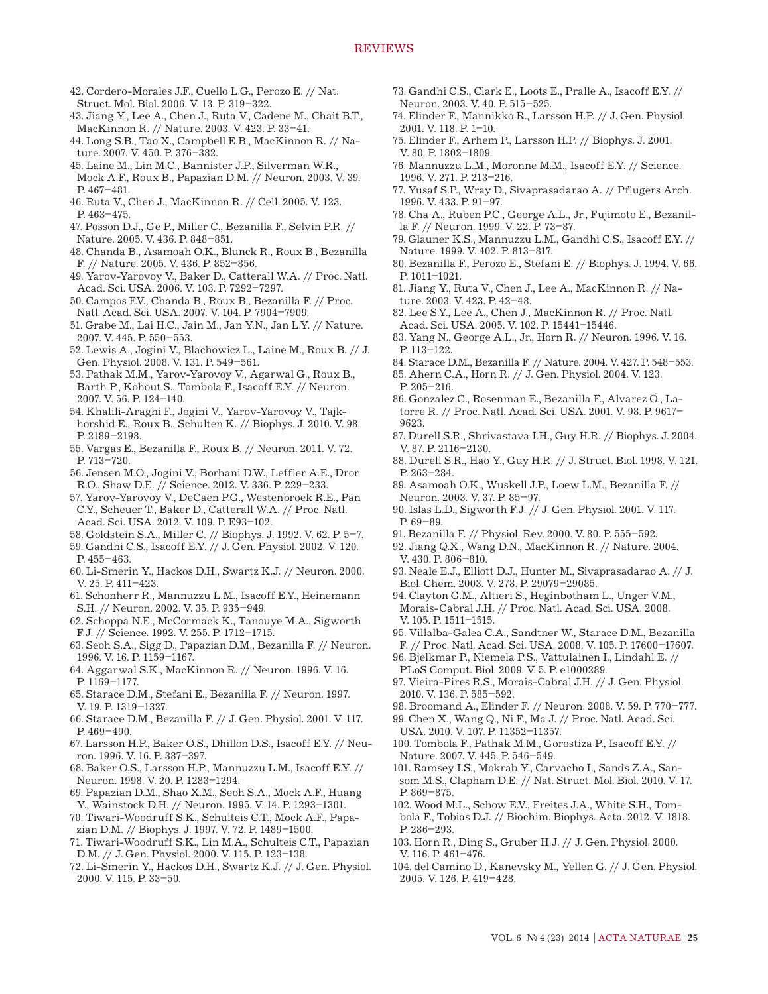42. Cordero-Morales J.F., Cuello L.G., Perozo E. // Nat. Struct. Mol. Biol. 2006. V. 13. P. 319–322.

- 43. Jiang Y., Lee A., Chen J., Ruta V., Cadene M., Chait B.T., MacKinnon R. // Nature. 2003. V. 423. P. 33–41.
- 44. Long S.B., Tao X., Campbell E.B., MacKinnon R. // Nature. 2007. V. 450. P. 376–382.
- 45. Laine M., Lin M.C., Bannister J.P., Silverman W.R., Mock A.F., Roux B., Papazian D.M. // Neuron. 2003. V. 39. P. 467–481.
- 46. Ruta V., Chen J., MacKinnon R. // Cell. 2005. V. 123. P. 463–475.
- 47. Posson D.J., Ge P., Miller C., Bezanilla F., Selvin P.R. // Nature. 2005. V. 436. P. 848–851.
- 48. Chanda B., Asamoah O.K., Blunck R., Roux B., Bezanilla F. // Nature. 2005. V. 436. P. 852–856.
- 49. Yarov-Yarovoy V., Baker D., Catterall W.A. // Proc. Natl. Acad. Sci. USA. 2006. V. 103. P. 7292–7297.
- 50. Campos F.V., Chanda B., Roux B., Bezanilla F. // Proc. Natl. Acad. Sci. USA. 2007. V. 104. P. 7904–7909.
- 51. Grabe M., Lai H.C., Jain M., Jan Y.N., Jan L.Y. // Nature. 2007. V. 445. P. 550–553.
- 52. Lewis A., Jogini V., Blachowicz L., Laine M., Roux B. // J. Gen. Physiol. 2008. V. 131. P. 549–561.
- 53. Pathak M.M., Yarov-Yarovoy V., Agarwal G., Roux B., Barth P., Kohout S., Tombola F., Isacoff E.Y. // Neuron. 2007. V. 56. P. 124–140.
- 54. Khalili-Araghi F., Jogini V., Yarov-Yarovoy V., Tajkhorshid E., Roux B., Schulten K. // Biophys. J. 2010. V. 98. P. 2189–2198.
- 55. Vargas E., Bezanilla F., Roux B. // Neuron. 2011. V. 72. P. 713–720.
- 56. Jensen M.O., Jogini V., Borhani D.W., Leffler A.E., Dror R.O., Shaw D.E. // Science. 2012. V. 336. P. 229–233.
- 57. Yarov-Yarovoy V., DeCaen P.G., Westenbroek R.E., Pan C.Y., Scheuer T., Baker D., Catterall W.A. // Proc. Natl. Acad. Sci. USA. 2012. V. 109. P. E93–102.
- 58. Goldstein S.A., Miller C. // Biophys. J. 1992. V. 62. P. 5–7.
- 59. Gandhi C.S., Isacoff E.Y. // J. Gen. Physiol. 2002. V. 120. P. 455–463.
- 60. Li-Smerin Y., Hackos D.H., Swartz K.J. // Neuron. 2000. V. 25. P. 411–423.
- 61. Schonherr R., Mannuzzu L.M., Isacoff E.Y., Heinemann S.H. // Neuron. 2002. V. 35. P. 935–949.
- 62. Schoppa N.E., McCormack K., Tanouye M.A., Sigworth F.J. // Science. 1992. V. 255. P. 1712–1715.
- 63. Seoh S.A., Sigg D., Papazian D.M., Bezanilla F. // Neuron. 1996. V. 16. P. 1159–1167.
- 64. Aggarwal S.K., MacKinnon R. // Neuron. 1996. V. 16. P. 1169–1177.
- 65. Starace D.M., Stefani E., Bezanilla F. // Neuron. 1997. V. 19. P. 1319–1327.
- 66. Starace D.M., Bezanilla F. // J. Gen. Physiol. 2001. V. 117. P. 469–490.
- 67. Larsson H.P., Baker O.S., Dhillon D.S., Isacoff E.Y. // Neuron. 1996. V. 16. P. 387–397.
- 68. Baker O.S., Larsson H.P., Mannuzzu L.M., Isacoff E.Y. // Neuron. 1998. V. 20. P. 1283–1294.
- 69. Papazian D.M., Shao X.M., Seoh S.A., Mock A.F., Huang Y., Wainstock D.H. // Neuron. 1995. V. 14. P. 1293–1301.
- 70. Tiwari-Woodruff S.K., Schulteis C.T., Mock A.F., Papazian D.M. // Biophys. J. 1997. V. 72. P. 1489–1500.
- 71. Tiwari-Woodruff S.K., Lin M.A., Schulteis C.T., Papazian D.M. // J. Gen. Physiol. 2000. V. 115. P. 123–138.
- 72. Li-Smerin Y., Hackos D.H., Swartz K.J. // J. Gen. Physiol. 2000. V. 115. P. 33–50.
- 73. Gandhi C.S., Clark E., Loots E., Pralle A., Isacoff E.Y. // Neuron. 2003. V. 40. P. 515–525.
- 74. Elinder F., Mannikko R., Larsson H.P. // J. Gen. Physiol. 2001. V. 118. P. 1–10.
- 75. Elinder F., Arhem P., Larsson H.P. // Biophys. J. 2001. V. 80. P. 1802–1809.
- 76. Mannuzzu L.M., Moronne M.M., Isacoff E.Y. // Science. 1996. V. 271. P. 213–216.
- 77. Yusaf S.P., Wray D., Sivaprasadarao A. // Pflugers Arch. 1996. V. 433. P. 91–97.
- 78. Cha A., Ruben P.C., George A.L., Jr., Fujimoto E., Bezanilla F. // Neuron. 1999. V. 22. P. 73–87.
- 79. Glauner K.S., Mannuzzu L.M., Gandhi C.S., Isacoff E.Y. // Nature. 1999. V. 402. P. 813–817.
- 80. Bezanilla F., Perozo E., Stefani E. // Biophys. J. 1994. V. 66. P. 1011–1021.
- 81. Jiang Y., Ruta V., Chen J., Lee A., MacKinnon R. // Nature. 2003. V. 423. P. 42–48.
- 82. Lee S.Y., Lee A., Chen J., MacKinnon R. // Proc. Natl. Acad. Sci. USA. 2005. V. 102. P. 15441–15446.
- 83. Yang N., George A.L., Jr., Horn R. // Neuron. 1996. V. 16. P. 113–122.
- 84. Starace D.M., Bezanilla F. // Nature. 2004. V. 427. P. 548–553.
- 85. Ahern C.A., Horn R. // J. Gen. Physiol. 2004. V. 123. P. 205–216.
- 86. Gonzalez C., Rosenman E., Bezanilla F., Alvarez O., Latorre R. // Proc. Natl. Acad. Sci. USA. 2001. V. 98. P. 9617– 9623.
- 87. Durell S.R., Shrivastava I.H., Guy H.R. // Biophys. J. 2004. V. 87. P. 2116–2130.
- 88. Durell S.R., Hao Y., Guy H.R. // J. Struct. Biol. 1998. V. 121. P. 263–284.
- 89. Asamoah O.K., Wuskell J.P., Loew L.M., Bezanilla F. // Neuron. 2003. V. 37. P. 85–97.
- 90. Islas L.D., Sigworth F.J. // J. Gen. Physiol. 2001. V. 117. P. 69–89.
- 91. Bezanilla F. // Physiol. Rev. 2000. V. 80. P. 555–592.
- 92. Jiang Q.X., Wang D.N., MacKinnon R. // Nature. 2004. V. 430. P. 806–810.
- 93. Neale E.J., Elliott D.J., Hunter M., Sivaprasadarao A. // J. Biol. Chem. 2003. V. 278. P. 29079–29085.
- 94. Clayton G.M., Altieri S., Heginbotham L., Unger V.M., Morais-Cabral J.H. // Proc. Natl. Acad. Sci. USA. 2008. V. 105. P. 1511–1515.
- 95. Villalba-Galea C.A., Sandtner W., Starace D.M., Bezanilla F. // Proc. Natl. Acad. Sci. USA. 2008. V. 105. P. 17600–17607.
- 96. Bjelkmar P., Niemela P.S., Vattulainen I., Lindahl E. // PLoS Comput. Biol. 2009. V. 5. P. e1000289.
- 97. Vieira-Pires R.S., Morais-Cabral J.H. // J. Gen. Physiol. 2010. V. 136. P. 585–592.
- 98. Broomand A., Elinder F. // Neuron. 2008. V. 59. P. 770–777.
- 99. Chen X., Wang Q., Ni F., Ma J. // Proc. Natl. Acad. Sci. USA. 2010. V. 107. P. 11352–11357.
- 100. Tombola F., Pathak M.M., Gorostiza P., Isacoff E.Y. // Nature. 2007. V. 445. P. 546–549.
- 101. Ramsey I.S., Mokrab Y., Carvacho I., Sands Z.A., Sansom M.S., Clapham D.E. // Nat. Struct. Mol. Biol. 2010. V. 17. P. 869–875.
- 102. Wood M.L., Schow E.V., Freites J.A., White S.H., Tombola F., Tobias D.J. // Biochim. Biophys. Acta. 2012. V. 1818. P. 286–293.
- 103. Horn R., Ding S., Gruber H.J. // J. Gen. Physiol. 2000. V. 116. P. 461–476.
- 104. del Camino D., Kanevsky M., Yellen G. // J. Gen. Physiol. 2005. V. 126. P. 419–428.